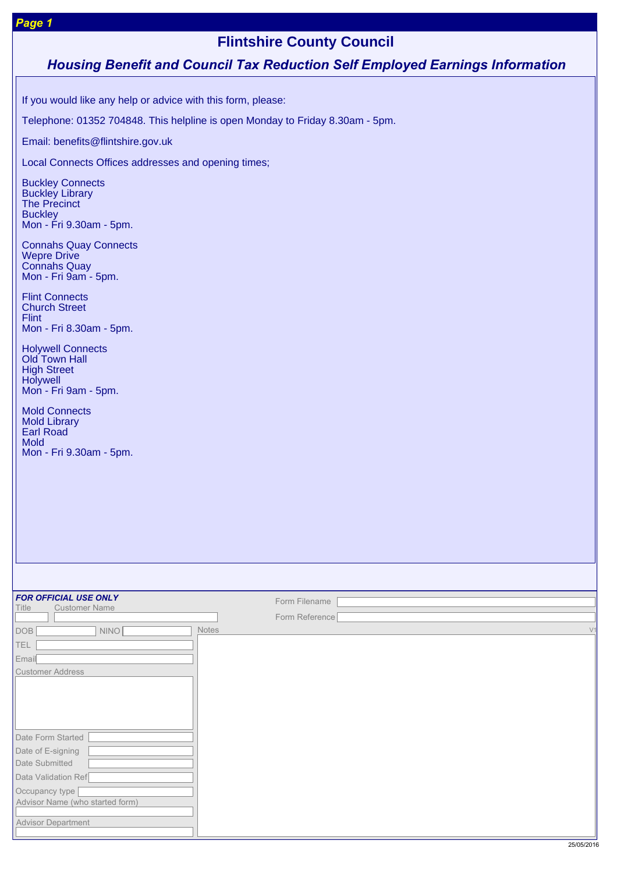# **Flintshire County Council**

# *Housing Benefit and Council Tax Reduction Self Employed Earnings Information*

If you would like any help or advice with this form, please:

Telephone: 01352 704848. This helpline is open Monday to Friday 8.30am - 5pm.

Email: benefits@flintshire.gov.uk

Local Connects Offices addresses and opening times;

Buckley Connects Buckley Library The Precinct **Buckley** Mon - Fri 9.30am - 5pm.

Connahs Quay Connects Wepre Drive Connahs Quay Mon - Fri 9am - 5pm.

Flint Connects Church Street Flint Mon - Fri 8.30am - 5pm.

Holywell Connects Old Town Hall High Street **Holywell** Mon - Fri 9am - 5pm.

Mold Connects Mold Library Earl Road Mold Mon - Fri 9.30am - 5pm.

| <b>FOR OFFICIAL USE ONLY</b><br><b>Customer Name</b><br>Title | Form Filename           |
|---------------------------------------------------------------|-------------------------|
|                                                               | Form Reference          |
| <b>DOB</b><br><b>NINO</b>                                     | Notes<br>V <sub>1</sub> |
| <b>TEL</b>                                                    |                         |
| Email                                                         |                         |
| <b>Customer Address</b>                                       |                         |
|                                                               |                         |
|                                                               |                         |
|                                                               |                         |
|                                                               |                         |
| Date Form Started                                             |                         |
| Date of E-signing                                             |                         |
| Date Submitted                                                |                         |
| Data Validation Ref                                           |                         |
| Occupancy type                                                |                         |
| Advisor Name (who started form)                               |                         |
| <b>Advisor Department</b>                                     |                         |
|                                                               |                         |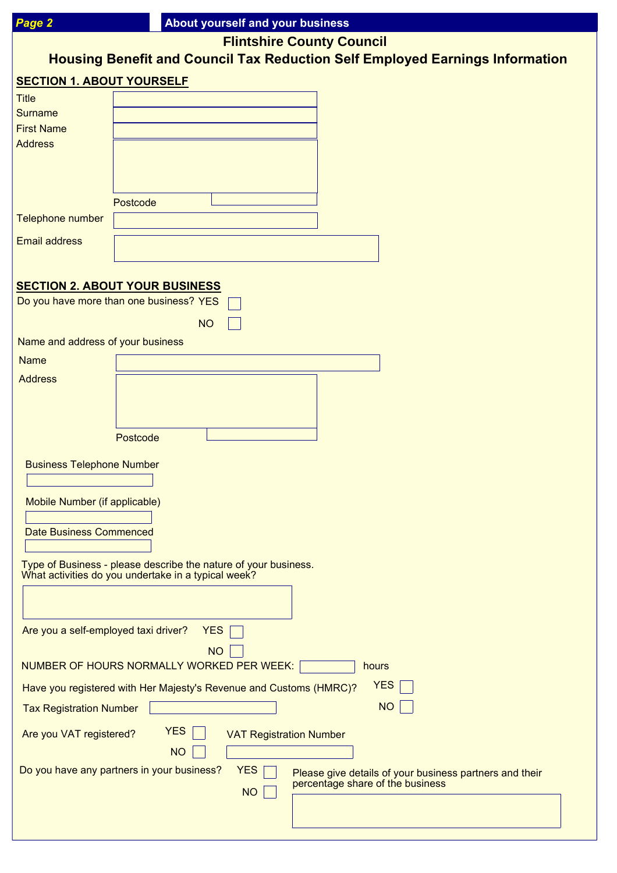| Page 2                               | About yourself and your business                                                                                    |
|--------------------------------------|---------------------------------------------------------------------------------------------------------------------|
|                                      | <b>Flintshire County Council</b>                                                                                    |
|                                      | <b>Housing Benefit and Council Tax Reduction Self Employed Earnings Information</b>                                 |
| <b>SECTION 1. ABOUT YOURSELF</b>     |                                                                                                                     |
| <b>Title</b>                         |                                                                                                                     |
| <b>Surname</b>                       |                                                                                                                     |
| <b>First Name</b>                    |                                                                                                                     |
| <b>Address</b>                       |                                                                                                                     |
|                                      |                                                                                                                     |
|                                      |                                                                                                                     |
|                                      | Postcode                                                                                                            |
| Telephone number                     |                                                                                                                     |
| <b>Email address</b>                 |                                                                                                                     |
|                                      |                                                                                                                     |
|                                      | <b>SECTION 2. ABOUT YOUR BUSINESS</b>                                                                               |
|                                      | Do you have more than one business? YES                                                                             |
|                                      | <b>NO</b>                                                                                                           |
| Name and address of your business    |                                                                                                                     |
| <b>Name</b>                          |                                                                                                                     |
| <b>Address</b>                       |                                                                                                                     |
|                                      |                                                                                                                     |
|                                      |                                                                                                                     |
|                                      | Postcode                                                                                                            |
|                                      |                                                                                                                     |
| <b>Business Telephone Number</b>     |                                                                                                                     |
|                                      |                                                                                                                     |
| Mobile Number (if applicable)        |                                                                                                                     |
| <b>Date Business Commenced</b>       |                                                                                                                     |
|                                      |                                                                                                                     |
|                                      | Type of Business - please describe the nature of your business.                                                     |
|                                      | What activities do you undertake in a typical week?                                                                 |
|                                      |                                                                                                                     |
|                                      |                                                                                                                     |
| Are you a self-employed taxi driver? | <b>YES</b>                                                                                                          |
|                                      | <b>NO</b><br>NUMBER OF HOURS NORMALLY WORKED PER WEEK:<br>hours                                                     |
|                                      | <b>YES</b>                                                                                                          |
|                                      | Have you registered with Her Majesty's Revenue and Customs (HMRC)?                                                  |
| <b>Tax Registration Number</b>       | <b>NO</b>                                                                                                           |
| Are you VAT registered?              | <b>YES</b><br><b>VAT Registration Number</b>                                                                        |
|                                      | <b>NO</b>                                                                                                           |
|                                      | Do you have any partners in your business?<br><b>YES</b><br>Please give details of your business partners and their |
|                                      | percentage share of the business<br><b>NO</b>                                                                       |
|                                      |                                                                                                                     |
|                                      |                                                                                                                     |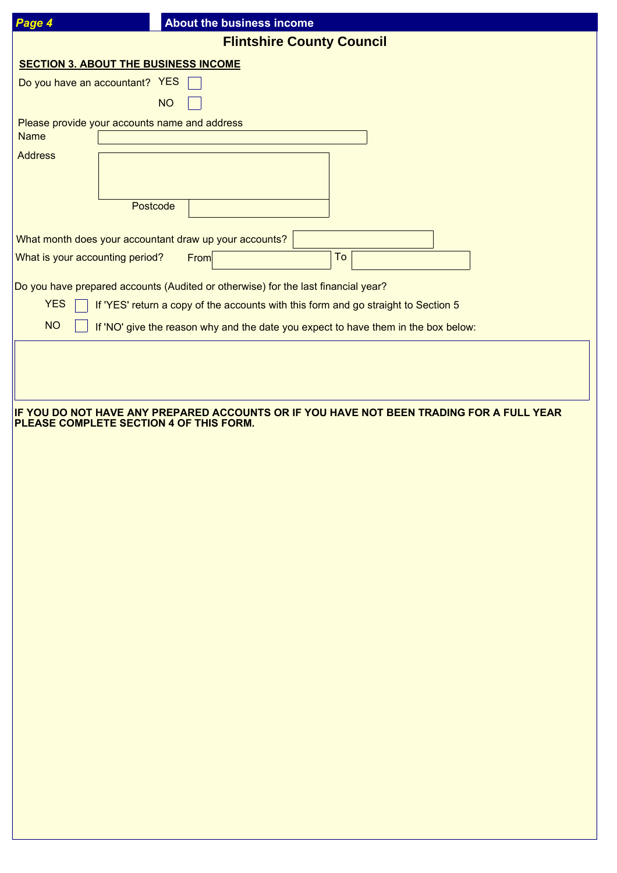| Page 4                          | About the business income                                                                                                           |
|---------------------------------|-------------------------------------------------------------------------------------------------------------------------------------|
|                                 | <b>Flintshire County Council</b>                                                                                                    |
|                                 | <b>SECTION 3. ABOUT THE BUSINESS INCOME</b>                                                                                         |
|                                 | Do you have an accountant? YES                                                                                                      |
|                                 | <b>NO</b>                                                                                                                           |
|                                 | Please provide your accounts name and address                                                                                       |
| <b>Name</b>                     |                                                                                                                                     |
| <b>Address</b>                  |                                                                                                                                     |
|                                 |                                                                                                                                     |
|                                 | Postcode                                                                                                                            |
|                                 |                                                                                                                                     |
|                                 | What month does your accountant draw up your accounts?                                                                              |
| What is your accounting period? | To<br>From                                                                                                                          |
|                                 | Do you have prepared accounts (Audited or otherwise) for the last financial year?                                                   |
| <b>YES</b>                      | If 'YES' return a copy of the accounts with this form and go straight to Section 5                                                  |
| <b>NO</b>                       | If 'NO' give the reason why and the date you expect to have them in the box below:                                                  |
|                                 |                                                                                                                                     |
|                                 |                                                                                                                                     |
|                                 |                                                                                                                                     |
|                                 |                                                                                                                                     |
|                                 | IF YOU DO NOT HAVE ANY PREPARED ACCOUNTS OR IF YOU HAVE NOT BEEN TRADING FOR A FULL YEAR<br>PLEASE COMPLETE SECTION 4 OF THIS FORM. |
|                                 |                                                                                                                                     |
|                                 |                                                                                                                                     |
|                                 |                                                                                                                                     |
|                                 |                                                                                                                                     |
|                                 |                                                                                                                                     |
|                                 |                                                                                                                                     |
|                                 |                                                                                                                                     |
|                                 |                                                                                                                                     |
|                                 |                                                                                                                                     |
|                                 |                                                                                                                                     |
|                                 |                                                                                                                                     |
|                                 |                                                                                                                                     |
|                                 |                                                                                                                                     |
|                                 |                                                                                                                                     |
|                                 |                                                                                                                                     |
|                                 |                                                                                                                                     |
|                                 |                                                                                                                                     |
|                                 |                                                                                                                                     |
|                                 |                                                                                                                                     |
|                                 |                                                                                                                                     |
|                                 |                                                                                                                                     |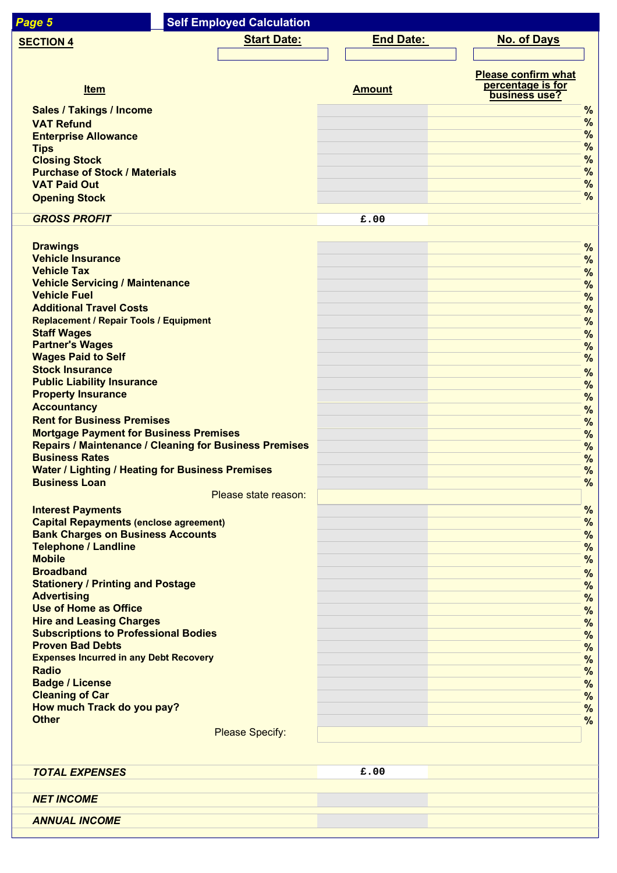| Page 5                                                                             | <b>Self Employed Calculation</b> |                        |                  |                                                                  |                                |
|------------------------------------------------------------------------------------|----------------------------------|------------------------|------------------|------------------------------------------------------------------|--------------------------------|
| <b>SECTION 4</b>                                                                   |                                  | <b>Start Date:</b>     | <b>End Date:</b> | <b>No. of Days</b>                                               |                                |
|                                                                                    |                                  |                        |                  |                                                                  |                                |
| <b>Item</b>                                                                        |                                  |                        | <b>Amount</b>    | <b>Please confirm what</b><br>percentage is for<br>business use? |                                |
| <b>Sales / Takings / Income</b>                                                    |                                  |                        |                  |                                                                  | %                              |
| <b>VAT Refund</b>                                                                  |                                  |                        |                  |                                                                  | %                              |
| <b>Enterprise Allowance</b>                                                        |                                  |                        |                  |                                                                  | $\frac{9}{6}$<br>$\frac{9}{6}$ |
| <b>Tips</b><br><b>Closing Stock</b>                                                |                                  |                        |                  |                                                                  | %                              |
| <b>Purchase of Stock / Materials</b>                                               |                                  |                        |                  |                                                                  | %                              |
| <b>VAT Paid Out</b>                                                                |                                  |                        |                  |                                                                  | %                              |
| <b>Opening Stock</b>                                                               |                                  |                        |                  |                                                                  | $\frac{9}{6}$                  |
| <b>GROSS PROFIT</b>                                                                |                                  |                        | £.00             |                                                                  |                                |
|                                                                                    |                                  |                        |                  |                                                                  |                                |
| <b>Drawings</b><br><b>Vehicle Insurance</b>                                        |                                  |                        |                  |                                                                  | %<br>$\frac{9}{6}$             |
| <b>Vehicle Tax</b>                                                                 |                                  |                        |                  |                                                                  | $\frac{9}{6}$                  |
| <b>Vehicle Servicing / Maintenance</b>                                             |                                  |                        |                  |                                                                  | $\frac{9}{6}$                  |
| <b>Vehicle Fuel</b><br><b>Additional Travel Costs</b>                              |                                  |                        |                  |                                                                  | $\frac{9}{6}$                  |
| <b>Replacement / Repair Tools / Equipment</b>                                      |                                  |                        |                  |                                                                  | $\frac{9}{6}$<br>$\frac{9}{6}$ |
| <b>Staff Wages</b>                                                                 |                                  |                        |                  |                                                                  | $\frac{9}{6}$                  |
| <b>Partner's Wages</b>                                                             |                                  |                        |                  |                                                                  | $\frac{9}{6}$                  |
| <b>Wages Paid to Self</b><br><b>Stock Insurance</b>                                |                                  |                        |                  |                                                                  | %                              |
| <b>Public Liability Insurance</b>                                                  |                                  |                        |                  |                                                                  | $\frac{9}{6}$<br>$\frac{9}{6}$ |
| <b>Property Insurance</b>                                                          |                                  |                        |                  |                                                                  | $\%$                           |
| <b>Accountancy</b>                                                                 |                                  |                        |                  |                                                                  | $\%$                           |
| <b>Rent for Business Premises</b><br><b>Mortgage Payment for Business Premises</b> |                                  |                        |                  |                                                                  | $\%$<br>$\%$                   |
| <b>Repairs / Maintenance / Cleaning for Business Premises</b>                      |                                  |                        |                  |                                                                  | %                              |
| <b>Business Rates</b>                                                              |                                  |                        |                  |                                                                  | $\%$                           |
| <b>Water / Lighting / Heating for Business Premises</b><br><b>Business Loan</b>    |                                  |                        |                  |                                                                  | $\frac{9}{6}$<br>$\frac{9}{6}$ |
|                                                                                    |                                  | Please state reason:   |                  |                                                                  |                                |
| <b>Interest Payments</b>                                                           |                                  |                        |                  |                                                                  | %                              |
| <b>Capital Repayments (enclose agreement)</b>                                      |                                  |                        |                  |                                                                  | $\frac{9}{6}$                  |
| <b>Bank Charges on Business Accounts</b><br><b>Telephone / Landline</b>            |                                  |                        |                  |                                                                  | $\frac{9}{6}$<br>$\frac{9}{6}$ |
| <b>Mobile</b>                                                                      |                                  |                        |                  |                                                                  | $\frac{9}{6}$                  |
| <b>Broadband</b>                                                                   |                                  |                        |                  |                                                                  | %                              |
| <b>Stationery / Printing and Postage</b><br><b>Advertising</b>                     |                                  |                        |                  |                                                                  | $\frac{9}{6}$                  |
| <b>Use of Home as Office</b>                                                       |                                  |                        |                  |                                                                  | $\frac{9}{6}$<br>%             |
| <b>Hire and Leasing Charges</b>                                                    |                                  |                        |                  |                                                                  | %                              |
| <b>Subscriptions to Professional Bodies</b><br><b>Proven Bad Debts</b>             |                                  |                        |                  |                                                                  | %                              |
| <b>Expenses Incurred in any Debt Recovery</b>                                      |                                  |                        |                  |                                                                  | %<br>%                         |
| <b>Radio</b>                                                                       |                                  |                        |                  |                                                                  | $\frac{9}{6}$                  |
| <b>Badge / License</b>                                                             |                                  |                        |                  |                                                                  | $\frac{9}{6}$                  |
| <b>Cleaning of Car</b><br>How much Track do you pay?                               |                                  |                        |                  |                                                                  | $\frac{9}{6}$<br>%             |
| <b>Other</b>                                                                       |                                  |                        |                  |                                                                  | $\frac{9}{6}$                  |
|                                                                                    |                                  | <b>Please Specify:</b> |                  |                                                                  |                                |
|                                                                                    |                                  |                        |                  |                                                                  |                                |
| <b>TOTAL EXPENSES</b>                                                              |                                  |                        | £.00             |                                                                  |                                |
|                                                                                    |                                  |                        |                  |                                                                  |                                |
| <b>NET INCOME</b>                                                                  |                                  |                        |                  |                                                                  |                                |
| <b>ANNUAL INCOME</b>                                                               |                                  |                        |                  |                                                                  |                                |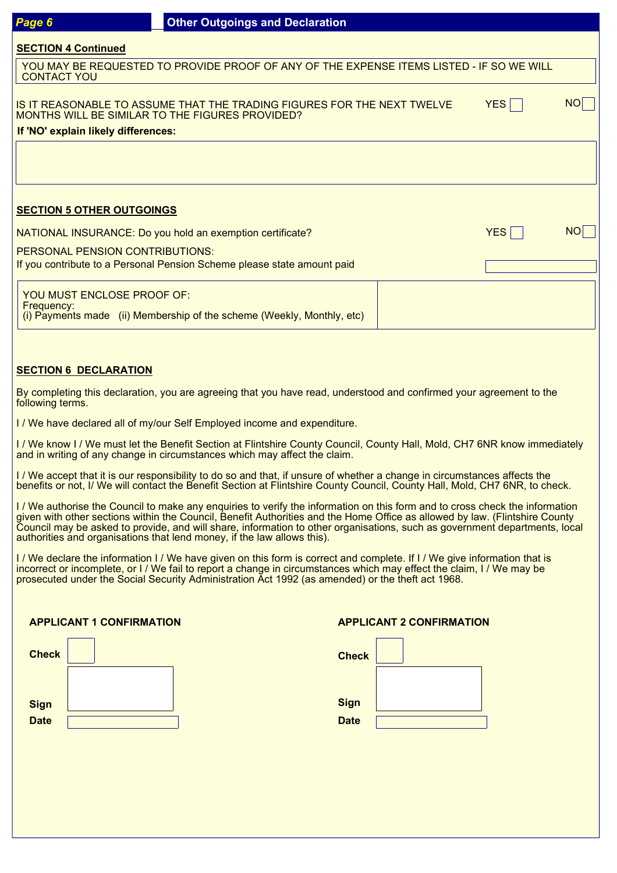### **SECTION 4 Continued**

 YOU MAY BE REQUESTED TO PROVIDE PROOF OF ANY OF THE EXPENSE ITEMS LISTED - IF SO WE WILL CONTACT YOU

IS IT REASONABLE TO ASSUME THAT THE TRADING FIGURES FOR THE NEXT TWELVE MONTHS WILL BE SIMILAR TO THE FIGURES PROVIDED? **If 'NO' explain likely differences:**

 $YES \Box$ 

 $YES \Box$  NO

# **SECTION 5 OTHER OUTGOINGS**

NATIONAL INSURANCE: Do you hold an exemption certificate?

PERSONAL PENSION CONTRIBUTIONS:

If you contribute to a Personal Pension Scheme please state amount paid

YOU MUST ENCLOSE PROOF OF: Frequency: (i) Payments made (ii) Membership of the scheme (Weekly, Monthly, etc)

## **SECTION 6 DECLARATION**

By completing this declaration, you are agreeing that you have read, understood and confirmed your agreement to the following terms.

I / We have declared all of my/our Self Employed income and expenditure.

I / We know I / We must let the Benefit Section at Flintshire County Council, County Hall, Mold, CH7 6NR know immediately and in writing of any change in circumstances which may affect the claim.

I / We accept that it is our responsibility to do so and that, if unsure of whether a change in circumstances affects the benefits or not, I/ We will contact the Benefit Section at Flintshire County Council, County Hall, Mold, CH7 6NR, to check.

I / We authorise the Council to make any enquiries to verify the information on this form and to cross check the information given with other sections within the Council, Benefit Authorities and the Home Office as allowed by law. (Flintshire County Council may be asked to provide, and will share, information to other organisations, such as government departments, local authorities and organisations that lend money, if the law allows this).

I / We declare the information I / We have given on this form is correct and complete. If I / We give information that is incorrect or incomplete, or I / We fail to report a change in circumstances which may effect the claim, I / We may be prosecuted under the Social Security Administration Act 1992 (as amended) or the theft act 1968.

## **APPLICANT 1 CONFIRMATION**

| <b>Check</b> |  | <b>Check</b> |
|--------------|--|--------------|
|              |  |              |
| <b>Sign</b>  |  | <b>Sign</b>  |
| <b>Date</b>  |  | <b>Date</b>  |

### **APPLICANT 2 CONFIRMATION**

| <b>Check</b> |  |
|--------------|--|
|              |  |
| <b>Sign</b>  |  |
| <b>Date</b>  |  |